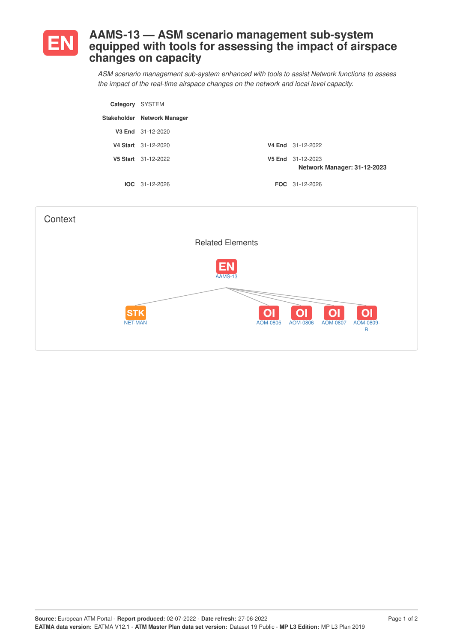

## **AAMS-13 — ASM scenario management sub-system equipped with tools for assessing the impact of airspace changes on capacity**

*ASM scenario management sub-system enhanced with tools to assist Network functions to assess the impact of the real-time airspace changes on the network and local level capacity.*

| Category SYSTEM |                             |                                                  |
|-----------------|-----------------------------|--------------------------------------------------|
|                 | Stakeholder Network Manager |                                                  |
|                 | V3 End 31-12-2020           |                                                  |
|                 | V4 Start 31-12-2020         | V4 End 31-12-2022                                |
|                 | V5 Start 31-12-2022         | V5 End 31-12-2023<br>Network Manager: 31-12-2023 |
|                 | $IOC 31-12-2026$            | FOC 31-12-2026                                   |